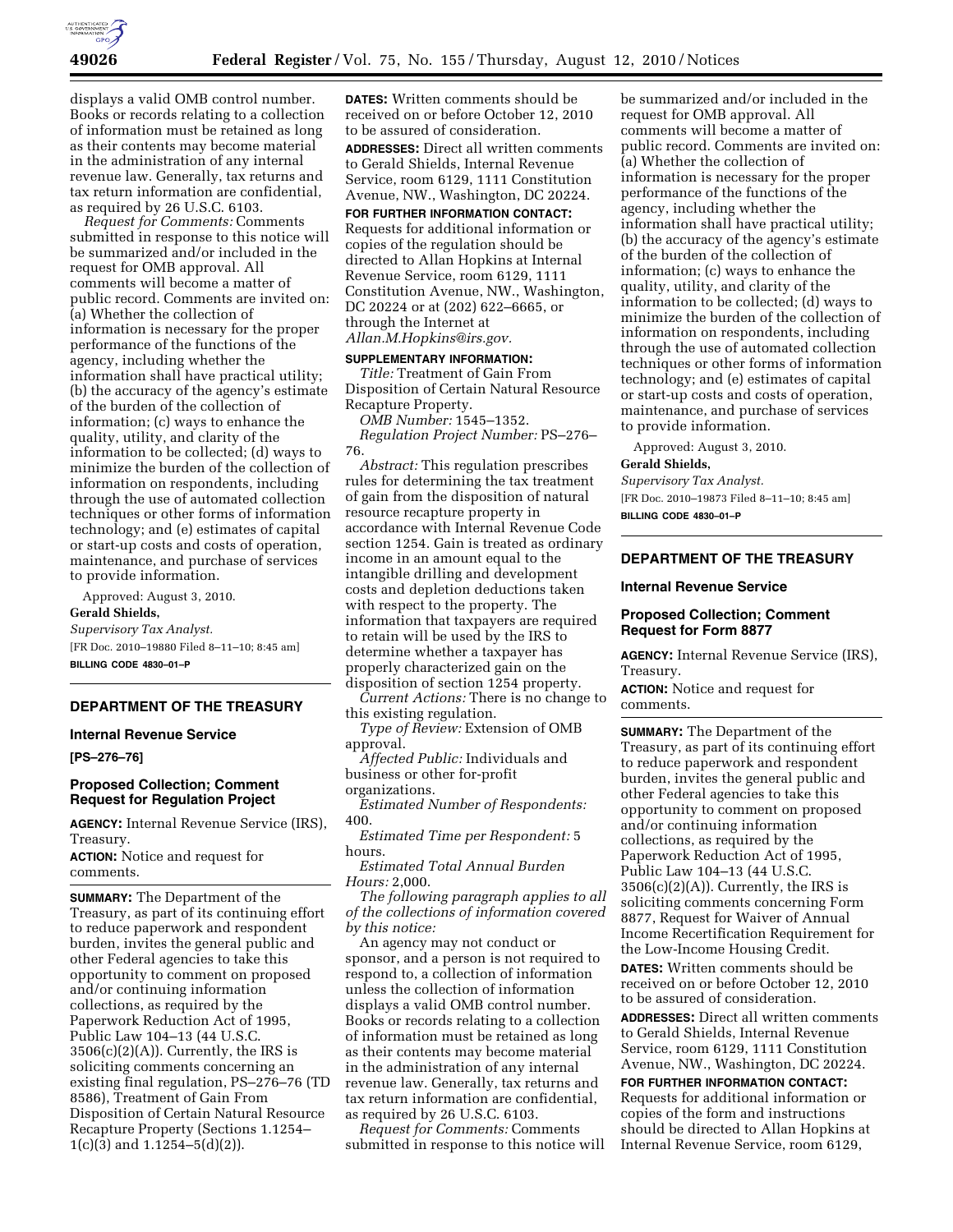

displays a valid OMB control number. Books or records relating to a collection of information must be retained as long as their contents may become material in the administration of any internal revenue law. Generally, tax returns and tax return information are confidential, as required by 26 U.S.C. 6103.

*Request for Comments:* Comments submitted in response to this notice will be summarized and/or included in the request for OMB approval. All comments will become a matter of public record. Comments are invited on: (a) Whether the collection of information is necessary for the proper performance of the functions of the agency, including whether the information shall have practical utility; (b) the accuracy of the agency's estimate of the burden of the collection of information; (c) ways to enhance the quality, utility, and clarity of the information to be collected; (d) ways to minimize the burden of the collection of information on respondents, including through the use of automated collection techniques or other forms of information technology; and (e) estimates of capital or start-up costs and costs of operation, maintenance, and purchase of services to provide information.

Approved: August 3, 2010. **Gerald Shields,**  *Supervisory Tax Analyst.* 

[FR Doc. 2010–19880 Filed 8–11–10; 8:45 am] **BILLING CODE 4830–01–P** 

# **DEPARTMENT OF THE TREASURY**

## **Internal Revenue Service**

**[PS–276–76]** 

## **Proposed Collection; Comment Request for Regulation Project**

**AGENCY:** Internal Revenue Service (IRS), Treasury.

**ACTION:** Notice and request for comments.

**SUMMARY:** The Department of the Treasury, as part of its continuing effort to reduce paperwork and respondent burden, invites the general public and other Federal agencies to take this opportunity to comment on proposed and/or continuing information collections, as required by the Paperwork Reduction Act of 1995, Public Law 104–13 (44 U.S.C.  $3506(c)(2)(A)$ . Currently, the IRS is soliciting comments concerning an existing final regulation, PS–276–76 (TD 8586), Treatment of Gain From Disposition of Certain Natural Resource Recapture Property (Sections 1.1254– 1(c)(3) and 1.1254–5(d)(2)).

**DATES:** Written comments should be received on or before October 12, 2010 to be assured of consideration.

**ADDRESSES:** Direct all written comments to Gerald Shields, Internal Revenue Service, room 6129, 1111 Constitution Avenue, NW., Washington, DC 20224.

# **FOR FURTHER INFORMATION CONTACT:**

Requests for additional information or copies of the regulation should be directed to Allan Hopkins at Internal Revenue Service, room 6129, 1111 Constitution Avenue, NW., Washington, DC 20224 or at (202) 622–6665, or through the Internet at *[Allan.M.Hopkins@irs.gov.](mailto:Allan.M.Hopkins@irs.gov)* 

## **SUPPLEMENTARY INFORMATION:**

*Title:* Treatment of Gain From Disposition of Certain Natural Resource Recapture Property.

*OMB Number:* 1545–1352.

*Regulation Project Number:* PS–276– 76.

*Abstract:* This regulation prescribes rules for determining the tax treatment of gain from the disposition of natural resource recapture property in accordance with Internal Revenue Code section 1254. Gain is treated as ordinary income in an amount equal to the intangible drilling and development costs and depletion deductions taken with respect to the property. The information that taxpayers are required to retain will be used by the IRS to determine whether a taxpayer has properly characterized gain on the disposition of section 1254 property.

*Current Actions:* There is no change to this existing regulation.

*Type of Review:* Extension of OMB approval.

*Affected Public:* Individuals and business or other for-profit organizations.

*Estimated Number of Respondents:*  400.

*Estimated Time per Respondent:* 5 hours.

*Estimated Total Annual Burden Hours:* 2,000.

*The following paragraph applies to all of the collections of information covered by this notice:* 

An agency may not conduct or sponsor, and a person is not required to respond to, a collection of information unless the collection of information displays a valid OMB control number. Books or records relating to a collection of information must be retained as long as their contents may become material in the administration of any internal revenue law. Generally, tax returns and tax return information are confidential, as required by 26 U.S.C. 6103.

*Request for Comments:* Comments submitted in response to this notice will be summarized and/or included in the request for OMB approval. All comments will become a matter of public record. Comments are invited on: (a) Whether the collection of information is necessary for the proper performance of the functions of the agency, including whether the information shall have practical utility; (b) the accuracy of the agency's estimate of the burden of the collection of information; (c) ways to enhance the quality, utility, and clarity of the information to be collected; (d) ways to minimize the burden of the collection of information on respondents, including through the use of automated collection techniques or other forms of information technology; and (e) estimates of capital or start-up costs and costs of operation, maintenance, and purchase of services to provide information.

Approved: August 3, 2010. **Gerald Shields,** 

*Supervisory Tax Analyst.*  [FR Doc. 2010–19873 Filed 8–11–10; 8:45 am] **BILLING CODE 4830–01–P** 

## **DEPARTMENT OF THE TREASURY**

#### **Internal Revenue Service**

## **Proposed Collection; Comment Request for Form 8877**

**AGENCY:** Internal Revenue Service (IRS), Treasury.

**ACTION:** Notice and request for comments.

**SUMMARY:** The Department of the Treasury, as part of its continuing effort to reduce paperwork and respondent burden, invites the general public and other Federal agencies to take this opportunity to comment on proposed and/or continuing information collections, as required by the Paperwork Reduction Act of 1995, Public Law 104–13 (44 U.S.C.  $3506(c)(2)(A)$ . Currently, the IRS is soliciting comments concerning Form 8877, Request for Waiver of Annual Income Recertification Requirement for the Low-Income Housing Credit.

**DATES:** Written comments should be received on or before October 12, 2010 to be assured of consideration.

**ADDRESSES:** Direct all written comments to Gerald Shields, Internal Revenue Service, room 6129, 1111 Constitution Avenue, NW., Washington, DC 20224.

**FOR FURTHER INFORMATION CONTACT:**  Requests for additional information or copies of the form and instructions should be directed to Allan Hopkins at Internal Revenue Service, room 6129,